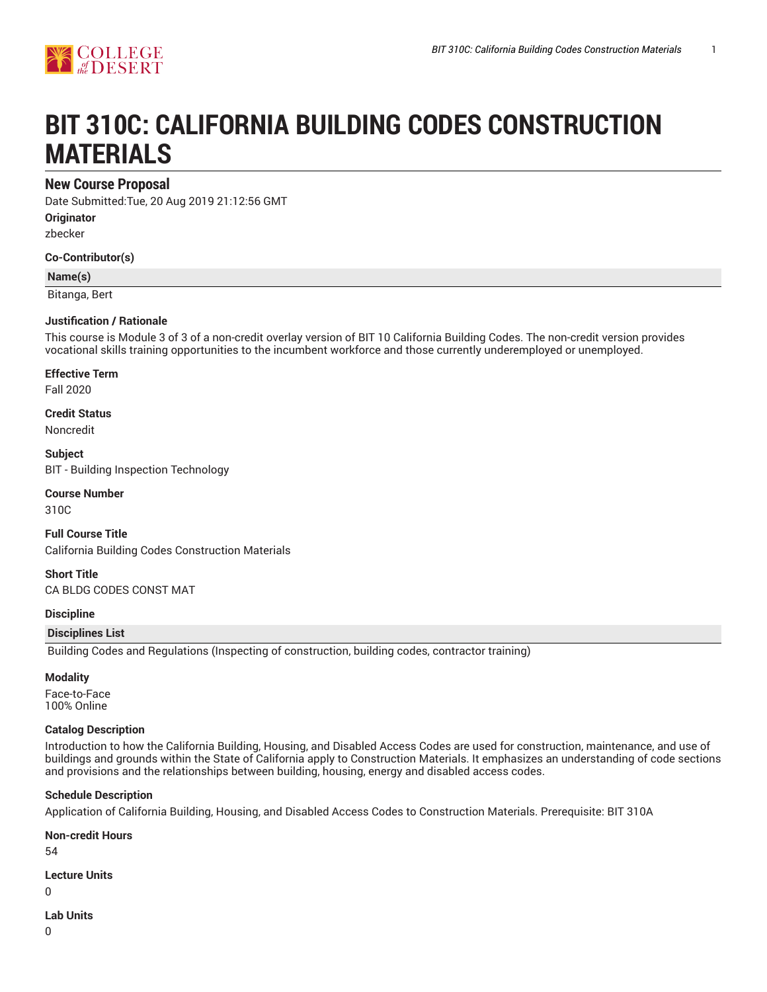

# **BIT 310C: CALIFORNIA BUILDING CODES CONSTRUCTION MATERIALS**

# **New Course Proposal**

Date Submitted:Tue, 20 Aug 2019 21:12:56 GMT **Originator**

zbecker

**Co-Contributor(s)**

#### **Name(s)**

Bitanga, Bert

#### **Justification / Rationale**

This course is Module 3 of 3 of a non-credit overlay version of BIT 10 California Building Codes. The non-credit version provides vocational skills training opportunities to the incumbent workforce and those currently underemployed or unemployed.

**Effective Term**

Fall 2020

**Credit Status** Noncredit

**Subject** BIT - Building Inspection Technology

**Course Number** 310C

**Full Course Title** California Building Codes Construction Materials

**Short Title** CA BLDG CODES CONST MAT

**Discipline**

#### **Disciplines List**

Building Codes and Regulations (Inspecting of construction, building codes, contractor training)

#### **Modality**

Face-to-Face 100% Online

#### **Catalog Description**

Introduction to how the California Building, Housing, and Disabled Access Codes are used for construction, maintenance, and use of buildings and grounds within the State of California apply to Construction Materials. It emphasizes an understanding of code sections and provisions and the relationships between building, housing, energy and disabled access codes.

#### **Schedule Description**

Application of California Building, Housing, and Disabled Access Codes to Construction Materials. Prerequisite: BIT 310A

**Non-credit Hours**

54

**Lecture Units**

 $\Omega$ 

**Lab Units**

0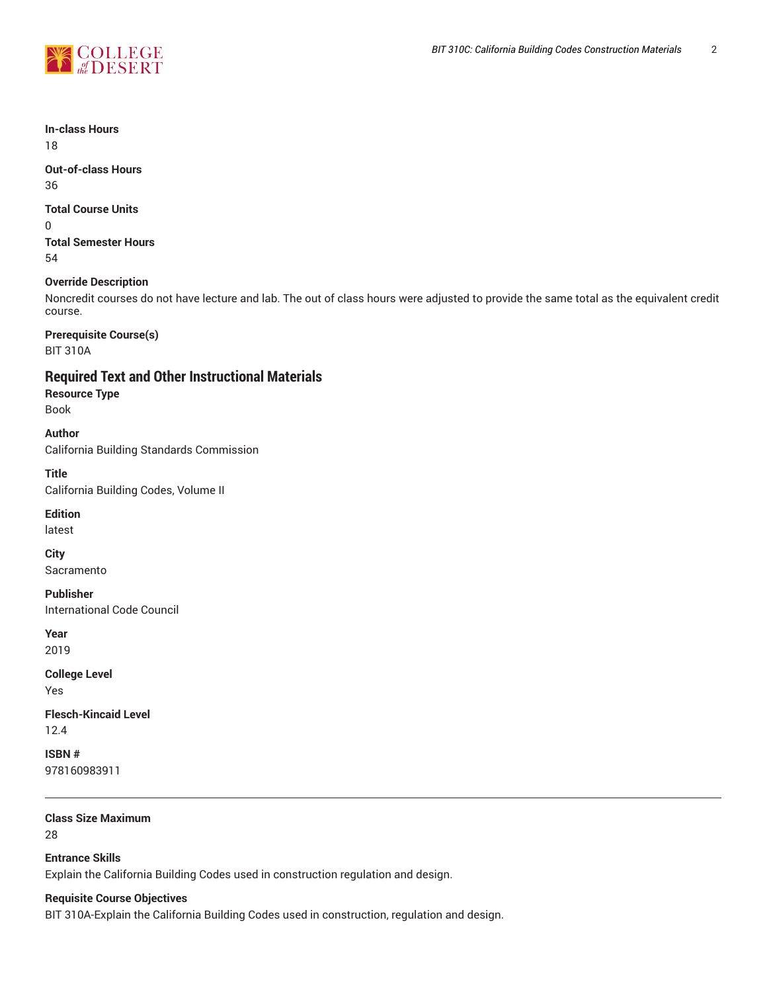

**In-class Hours**

18

**Out-of-class Hours** 36

## **Total Course Units**

0

**Total Semester Hours** 54

## **Override Description**

Noncredit courses do not have lecture and lab. The out of class hours were adjusted to provide the same total as the equivalent credit course.

**Prerequisite Course(s)**

BIT 310A

**Required Text and Other Instructional Materials**

**Resource Type** Book

**Author** California Building Standards Commission

**Title** California Building Codes, Volume II

**Edition**

latest

**City** Sacramento

**Publisher** International Code Council

**Year** 2019

**College Level** Yes

**Flesch-Kincaid Level** 12.4

**ISBN #** 978160983911

**Class Size Maximum** 28

**Entrance Skills** Explain the California Building Codes used in construction regulation and design.

## **Requisite Course Objectives**

BIT 310A-Explain the California Building Codes used in construction, regulation and design.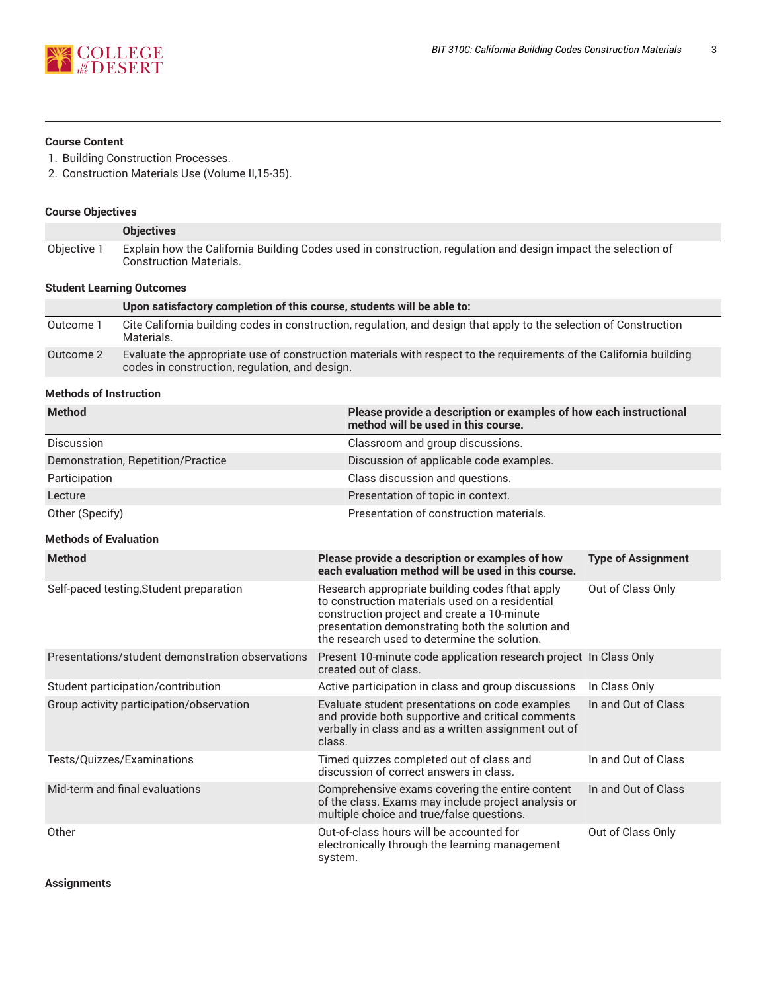

### **Course Content**

- 1. Building Construction Processes.
- 2. Construction Materials Use (Volume II,15-35).

## **Course Objectives**

|                                  | <b>Objectives</b>                                                                                                                               |  |
|----------------------------------|-------------------------------------------------------------------------------------------------------------------------------------------------|--|
| Objective 1                      | Explain how the California Building Codes used in construction, regulation and design impact the selection of<br><b>Construction Materials.</b> |  |
| <b>Student Learning Outcomes</b> |                                                                                                                                                 |  |

|           | Upon satisfactory completion of this course, students will be able to:                                                                                               |
|-----------|----------------------------------------------------------------------------------------------------------------------------------------------------------------------|
| Outcome 1 | Cite California building codes in construction, regulation, and design that apply to the selection of Construction<br>Materials.                                     |
| Outcome 2 | Evaluate the appropriate use of construction materials with respect to the requirements of the California building<br>codes in construction, regulation, and design. |

#### **Methods of Instruction**

| <b>Method</b>                      | Please provide a description or examples of how each instructional<br>method will be used in this course. |
|------------------------------------|-----------------------------------------------------------------------------------------------------------|
| <b>Discussion</b>                  | Classroom and group discussions.                                                                          |
| Demonstration, Repetition/Practice | Discussion of applicable code examples.                                                                   |
| Participation                      | Class discussion and questions.                                                                           |
| Lecture                            | Presentation of topic in context.                                                                         |
| Other (Specify)                    | Presentation of construction materials.                                                                   |

## **Methods of Evaluation**

| <b>Method</b>                                    | Please provide a description or examples of how<br>each evaluation method will be used in this course.                                                                                                                                                | <b>Type of Assignment</b> |
|--------------------------------------------------|-------------------------------------------------------------------------------------------------------------------------------------------------------------------------------------------------------------------------------------------------------|---------------------------|
| Self-paced testing, Student preparation          | Research appropriate building codes fthat apply<br>to construction materials used on a residential<br>construction project and create a 10-minute<br>presentation demonstrating both the solution and<br>the research used to determine the solution. | Out of Class Only         |
| Presentations/student demonstration observations | Present 10-minute code application research project In Class Only<br>created out of class.                                                                                                                                                            |                           |
| Student participation/contribution               | Active participation in class and group discussions                                                                                                                                                                                                   | In Class Only             |
| Group activity participation/observation         | Evaluate student presentations on code examples<br>and provide both supportive and critical comments<br>verbally in class and as a written assignment out of<br>class.                                                                                | In and Out of Class       |
| Tests/Quizzes/Examinations                       | Timed quizzes completed out of class and<br>discussion of correct answers in class.                                                                                                                                                                   | In and Out of Class       |
| Mid-term and final evaluations                   | Comprehensive exams covering the entire content<br>of the class. Exams may include project analysis or<br>multiple choice and true/false questions.                                                                                                   | In and Out of Class       |
| Other                                            | Out-of-class hours will be accounted for<br>electronically through the learning management<br>system.                                                                                                                                                 | Out of Class Only         |

**Assignments**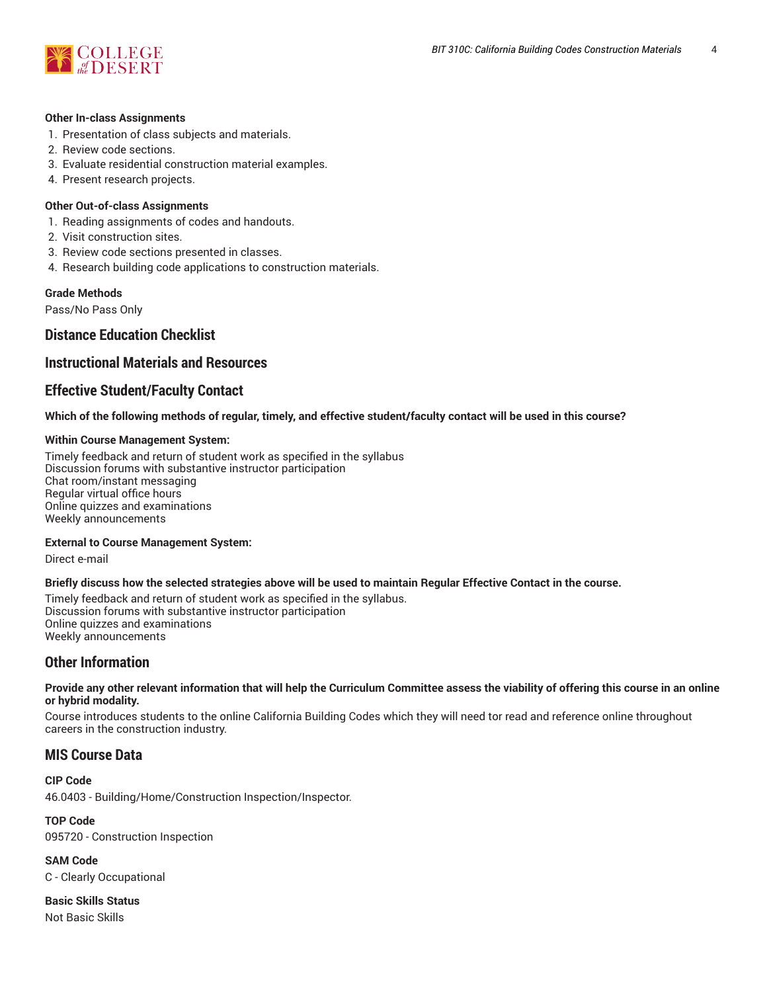

#### **Other In-class Assignments**

- 1. Presentation of class subjects and materials.
- 2. Review code sections.
- 3. Evaluate residential construction material examples.
- 4. Present research projects.

#### **Other Out-of-class Assignments**

- 1. Reading assignments of codes and handouts.
- 2. Visit construction sites.
- 3. Review code sections presented in classes.
- 4. Research building code applications to construction materials.

#### **Grade Methods**

Pass/No Pass Only

# **Distance Education Checklist**

# **Instructional Materials and Resources**

# **Effective Student/Faculty Contact**

#### Which of the following methods of regular, timely, and effective student/faculty contact will be used in this course?

#### **Within Course Management System:**

Timely feedback and return of student work as specified in the syllabus Discussion forums with substantive instructor participation Chat room/instant messaging Regular virtual office hours Online quizzes and examinations Weekly announcements

#### **External to Course Management System:**

Direct e-mail

#### Briefly discuss how the selected strategies above will be used to maintain Regular Effective Contact in the course.

Timely feedback and return of student work as specified in the syllabus. Discussion forums with substantive instructor participation Online quizzes and examinations Weekly announcements

# **Other Information**

#### Provide any other relevant information that will help the Curriculum Committee assess the viability of offering this course in an online **or hybrid modality.**

Course introduces students to the online California Building Codes which they will need tor read and reference online throughout careers in the construction industry.

# **MIS Course Data**

**CIP Code**

46.0403 - Building/Home/Construction Inspection/Inspector.

**TOP Code** 095720 - Construction Inspection

**SAM Code** C - Clearly Occupational

**Basic Skills Status** Not Basic Skills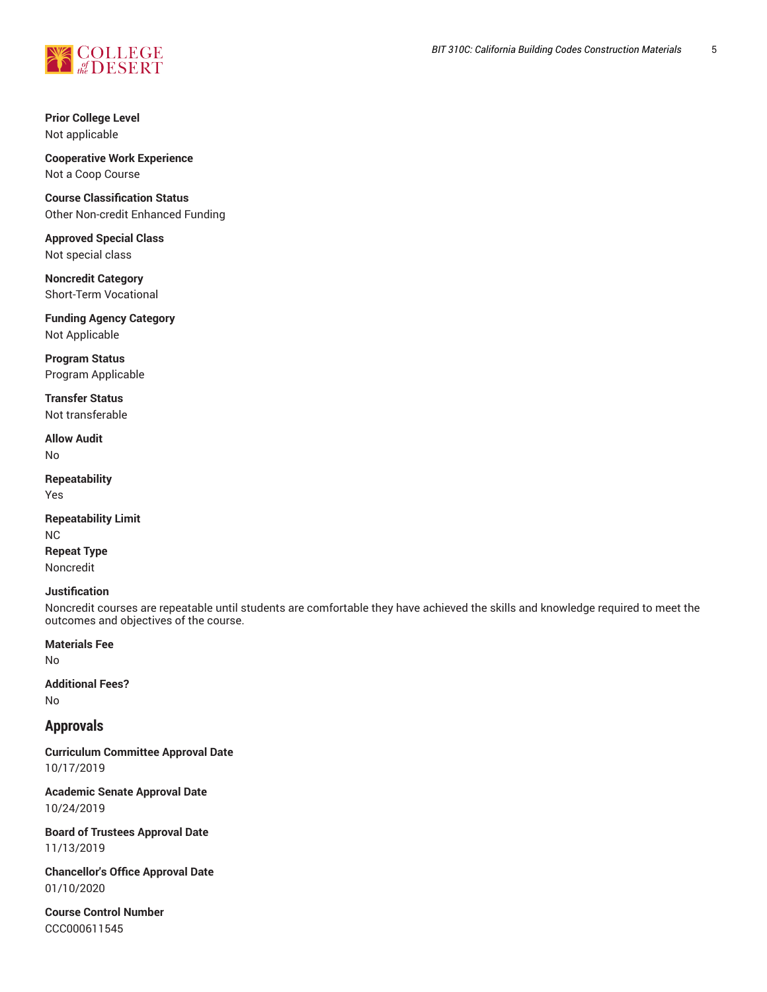

**Prior College Level** Not applicable

**Cooperative Work Experience** Not a Coop Course

**Course Classification Status** Other Non-credit Enhanced Funding

**Approved Special Class** Not special class

**Noncredit Category** Short-Term Vocational

**Funding Agency Category** Not Applicable

**Program Status** Program Applicable

**Transfer Status** Not transferable

**Allow Audit** No

**Repeatability** Yes

**Repeatability Limit** NC **Repeat Type** Noncredit

#### **Justification**

Noncredit courses are repeatable until students are comfortable they have achieved the skills and knowledge required to meet the outcomes and objectives of the course.

**Materials Fee**

No

**Additional Fees?** No

## **Approvals**

**Curriculum Committee Approval Date** 10/17/2019

**Academic Senate Approval Date** 10/24/2019

**Board of Trustees Approval Date** 11/13/2019

**Chancellor's Office Approval Date** 01/10/2020

**Course Control Number** CCC000611545